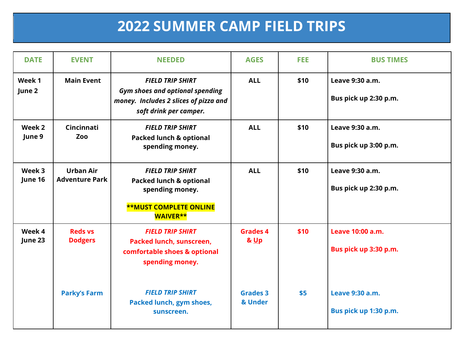## **2022 SUMMER CAMP FIELD TRIPS**

| <b>DATE</b>       | <b>EVENT</b>                              | <b>NEEDED</b>                                                                                                                        | <b>AGES</b>                        | <b>FEE</b> | <b>BUS TIMES</b>                          |
|-------------------|-------------------------------------------|--------------------------------------------------------------------------------------------------------------------------------------|------------------------------------|------------|-------------------------------------------|
| Week 1<br>June 2  | <b>Main Event</b>                         | <b>FIELD TRIP SHIRT</b><br><b>Gym shoes and optional spending</b><br>money. Includes 2 slices of pizza and<br>soft drink per camper. | <b>ALL</b>                         | \$10       | Leave 9:30 a.m.<br>Bus pick up 2:30 p.m.  |
| Week 2<br>June 9  | Cincinnati<br>Zoo                         | <b>FIELD TRIP SHIRT</b><br><b>Packed lunch &amp; optional</b><br>spending money.                                                     | <b>ALL</b>                         | \$10       | Leave 9:30 a.m.<br>Bus pick up 3:00 p.m.  |
| Week 3<br>June 16 | <b>Urban Air</b><br><b>Adventure Park</b> | <b>FIELD TRIP SHIRT</b><br><b>Packed lunch &amp; optional</b><br>spending money.<br><b>**MUST COMPLETE ONLINE</b><br><b>WAIVER**</b> | <b>ALL</b>                         | \$10       | Leave 9:30 a.m.<br>Bus pick up 2:30 p.m.  |
| Week 4<br>June 23 | <b>Reds vs</b><br><b>Dodgers</b>          | <b>FIELD TRIP SHIRT</b><br>Packed lunch, sunscreen,<br>comfortable shoes & optional<br>spending money.                               | <b>Grades 4</b><br><b>&amp; Up</b> | \$10       | Leave 10:00 a.m.<br>Bus pick up 3:30 p.m. |
|                   | <b>Parky's Farm</b>                       | <b>FIELD TRIP SHIRT</b><br>Packed lunch, gym shoes,<br>sunscreen.                                                                    | <b>Grades 3</b><br>& Under         | \$5        | Leave 9:30 a.m.<br>Bus pick up 1:30 p.m.  |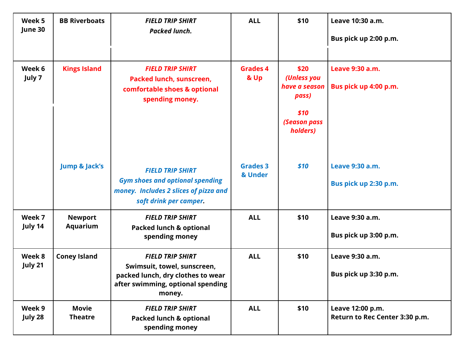| Week 5<br>June 30 | <b>BB Riverboats</b>              | <b>FIELD TRIP SHIRT</b><br><b>Packed lunch.</b>                                                                                            | <b>ALL</b>                 | \$10                                                                              | Leave 10:30 a.m.<br>Bus pick up 2:00 p.m.          |
|-------------------|-----------------------------------|--------------------------------------------------------------------------------------------------------------------------------------------|----------------------------|-----------------------------------------------------------------------------------|----------------------------------------------------|
| Week 6<br>July 7  | <b>Kings Island</b>               | <b>FIELD TRIP SHIRT</b><br>Packed lunch, sunscreen,<br>comfortable shoes & optional<br>spending money.                                     | <b>Grades 4</b><br>& Up    | \$20<br>(Unless you<br>have a season<br>pass)<br>\$10<br>(Season pass<br>holders) | Leave 9:30 a.m.<br>Bus pick up 4:00 p.m.           |
|                   | <b>Jump &amp; Jack's</b>          | <b>FIELD TRIP SHIRT</b><br><b>Gym shoes and optional spending</b><br>money. Includes 2 slices of pizza and<br>soft drink per camper.       | <b>Grades 3</b><br>& Under | \$10                                                                              | Leave 9:30 a.m.<br>Bus pick up 2:30 p.m.           |
| Week 7<br>July 14 | <b>Newport</b><br><b>Aquarium</b> | <b>FIELD TRIP SHIRT</b><br><b>Packed lunch &amp; optional</b><br>spending money                                                            | <b>ALL</b>                 | \$10                                                                              | Leave 9:30 a.m.<br>Bus pick up 3:00 p.m.           |
| Week 8<br>July 21 | <b>Coney Island</b>               | <b>FIELD TRIP SHIRT</b><br>Swimsuit, towel, sunscreen,<br>packed lunch, dry clothes to wear<br>after swimming, optional spending<br>money. | <b>ALL</b>                 | \$10                                                                              | Leave 9:30 a.m.<br>Bus pick up 3:30 p.m.           |
| Week 9<br>July 28 | <b>Movie</b><br><b>Theatre</b>    | <b>FIELD TRIP SHIRT</b><br><b>Packed lunch &amp; optional</b><br>spending money                                                            | <b>ALL</b>                 | \$10                                                                              | Leave 12:00 p.m.<br>Return to Rec Center 3:30 p.m. |